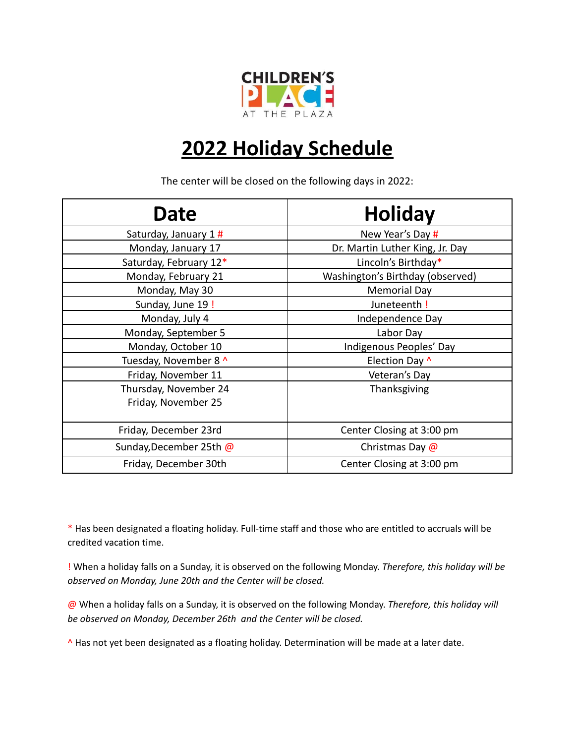

## **2022 Holiday Schedule**

The center will be closed on the following days in 2022:

| <b>Date</b>                                  | <b>Holiday</b>                   |
|----------------------------------------------|----------------------------------|
| Saturday, January 1#                         | New Year's Day #                 |
| Monday, January 17                           | Dr. Martin Luther King, Jr. Day  |
| Saturday, February 12*                       | Lincoln's Birthday*              |
| Monday, February 21                          | Washington's Birthday (observed) |
| Monday, May 30                               | <b>Memorial Day</b>              |
| Sunday, June 19 !                            | Juneteenth!                      |
| Monday, July 4                               | Independence Day                 |
| Monday, September 5                          | Labor Day                        |
| Monday, October 10                           | Indigenous Peoples' Day          |
| Tuesday, November 8 ^                        | Election Day ^                   |
| Friday, November 11                          | Veteran's Day                    |
| Thursday, November 24<br>Friday, November 25 | Thanksgiving                     |
| Friday, December 23rd                        | Center Closing at 3:00 pm        |
| Sunday, December 25th @                      | Christmas Day @                  |
| Friday, December 30th                        | Center Closing at 3:00 pm        |

\* Has been designated a floating holiday. Full-time staff and those who are entitled to accruals will be credited vacation time.

! When a holiday falls on a Sunday, it is observed on the following Monday. *Therefore, this holiday will be observed on Monday, June 20th and the Center will be closed.*

@ When a holiday falls on a Sunday, it is observed on the following Monday. *Therefore, this holiday will be observed on Monday, December 26th and the Center will be closed.*

^ Has not yet been designated as a floating holiday. Determination will be made at a later date.